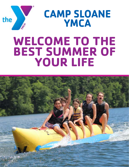

**CAMP SLOANE YMCA**

# **WELCOME TO THE BEST SUMMER OF YOUR LIFE**

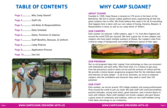## **TABLE OF CONTENTS**

- Page 2............ Why Camp Sloane?
- Page 3............ Staff Life
- Page 4............ Job Roles & Responsibilities
- Page 5............ Daily Schedule
- Page 6............. Dates, Positions & Salaries
- Page 7............ Staff Benefits, Bonuses, & Uniform
- Page 8............ Camp Policies
- Page 9............ Application Process
- Page 10.......... Join Us!





#### **ABOUT SLOANE**

Founded in 1928, Camp Sloane is located on 270 acres in the heart of the Berkshires. We live in canvas-walled, platform tents, experiencing all that the great outdoors has to offer. We firmly believe that camp is for all, & everything that happens here is done with our core values of Caring, Honesty, Respect, & Responsibility in mind, as well as our camp motto of 'Others'.

#### **OUR CAMPERS**

Each summer we welcome 1,600 campers, ages 7-15, from New England and around the world (250 per session). We have a great mix of new campers and campers who have spent multiple summers at Sloane. Our campers come from a diverse range of backgrounds and exhibit behaviors typical of their ages.



#### **OUR PROGRAM**

Our co-ed programs helps kids 'unplug' from technology so they can reconnect with themselves and each other. More than that, it's a chance to get away from the precarious world in which we live and the stresses of school and life. We provide a choice-based, progressive program that fits the individual needs and interests of each camper - in all of our activities, we strive to empower campers with the confidence and character they need to reach their full potential.

#### **OUR STAFF**

Each summer, we recruit around 100 college students and young professionals from around the world to join our team. We seek staff with warm personalities, positive attitudes, strong work ethics, good character, and a sincere desire to work with children. Many staff members are former campers who give Sloane a great sense of community and tradition, while our new staff members bring fresh ideas and energy to our community.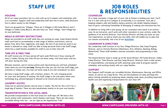## **STAFF LIFE**

#### **HOUSING**

All of our camp counselors live in a tent with up to 6 campers and sometimes with a co-counselor. Support staff and Leadership staff also live in tents, while Directors live in cabins nearby to the Villages.

Tents are grouped into 'Villages'. There are 4 Villages in Hill Camp (Girls+) and 4 Villages in Valley Camp (Boys+). We also have our 'Teen' Village. Each Village has its own bathroom.

#### **MEALS & DIETARY RESTRICTIONS**

Meals are provided to all staff while they are working at camp. Camp Sloane kitchen staff work hard to accommodate a wide range of dietary restrictions, such as gluten-free, dairy-free, vegetarian, and vegan. No nuts of any kind are used in our meals or allowed on camp. Staff are able to keep personal food in the Staff Lodge, which has a small kitchen available for staff to use on their time off.

#### **TIME OFF & FREE TIME**

All staff receive one 24-hour period off each week PLUS one 4-hour evening off every 2 weeks. During your time off you can leave camp, visit local areas, and are 'off-duty' during this time.

Between sessions, and at various points each day/evening you will have scheduled times when you are free **on camp**. During this time you can visit the staff lodge, join activities or simply rest. You may not leave camp & are still considered 'on-duty'.

We have a large Staff Lodge, with a kitchen, lockers, TV, wifi, charging points for your tech and plenty of seating. The Staff Lodge is the only place where your technology (e.g. phones/laptops) is allowed to be stored and used on camp.

#### **LAUNDRY ACCESS**

Camp has an optional laundry service every 2 weeks. The fee for this is \$15 for a large bag of laundry. There are also laundromats nearby to do your own laundry.

#### **TRANSPORTATION & THE LOCAL AREA**

We provide transportation to the local areas for staff days off. We have a few towns nearby with restaurants, movie theaters and shops. There are also many incredible hiking trails too - we are right by the Appalachian Trail!





## **JOB ROLES & RESPONSIBILITIES**

#### **COUNSELOR**

As a camp counselor, a huge part of your role at Sloane is leading your tent. You'll live in a tent with up to 6 campers & occasionally a co-counselor. Your job is keeping campers safe and healthy, being a positive role model, helping campers learn & grow, cultivating friendships & belonging, & making sure everyone has fun.

In addition to living with a tent group, all our counselors also teach in an activity area. As an instructor, you'll work with other counselors in your activity, under the guidance of an Activity Director. Your Activity Director will help you draw on your own experiences, as well as teach you new skills, that will enable you to plan and run classes successfully. See a list of our **[Activities](https://campsloane.org/activities)**.

### **LEADERSHIP & DIRECTORS**

Our Leadership staff consists of our four Village Directors, Day Camp Program Director, and six Activity Directors (Adventure, Arts, Athletics, Boating, Riding, Waterfront). These staff members oversee counselors and programming in their areas.

The Sloane Director team is made up of the Social Worker, Hill Camp Director, Valley Camp Director, Teen Director and Day Camp Director. Directors have a wide variety of responsibilities, overseeing all staff, planning camp-wide & program-specific schedules, and working closely with our camp families.

#### **SUPPORT**

Our Support staff includes our incredible Kitchen, Maintenance, Nursing, and Office teams, as well as our Camp Driver. They are the backbone of camp and keep this place running smoothly by preparing meals, keeping camp clean, providing important health care and organising transportation for your days off!



### **[WWW.CAMPSLOANE.ORG/WORK-WITH-US](https://campsloane.org/work-with-us/)** Page 4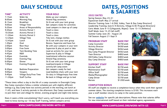## **DAILY SCHEDULE**

| TIME*               | <b>ACTIVITY</b>                | <b>YOUR ROLE</b>                   |
|---------------------|--------------------------------|------------------------------------|
| 7:15am              | Wake Up                        | Wake up your campers               |
| 8:00am              | <b>Morning Flag</b>            | Attend flag ceremony               |
| 8:15am              | <b>Breakfast</b>               | Sit & eat with your tent group     |
| 9:00am              | <b>Village Time</b>            | Get campers ready for activities   |
| 9:20am              | <b>Areas of Responsibility</b> | Lead campers in clean up of camp   |
| 9:30am              | <b>Activity Period 1</b>       | Teach a class                      |
| 10:30am             | <b>Activity Period 2</b>       | Teach a class                      |
| 11:30am             | <b>Activity Period 3</b>       | Teach a class                      |
| 12:20 <sub>pm</sub> | <b>Village Time</b>            | Tidy tent, change clothes          |
| 12:45 <sub>pm</sub> | Lunch                          | Sit & eat with your tent group     |
| 1:30 <sub>pm</sub>  | Oval                           | Recess. Supervise and have fun     |
| 2:00 <sub>pm</sub>  | <b>Rest Hour</b>               | Be with your campers in your tent  |
| 3:00 <sub>pm</sub>  | <b>Free Swim</b>               | Supervise & play at pool or lake   |
| $3:55$ pm           | <b>Tent Bonding Time</b>       | Lead an activity for your tent     |
| $4:45$ pm           | R&R                            | Supervise & play in Village        |
| 5:40pm              | Eventide                       | Lead/attend reflective session     |
| 5:50 <sub>pm</sub>  | <b>Evening Flag</b>            | Attend flag ceremony               |
| 6:00 <sub>pm</sub>  | <b>Dinner</b>                  | Sit & eat with your tent group     |
| $7:00$ pm           | <b>Evening Program</b>         | Lead/participate in Village        |
|                     |                                | activity/all-camp event            |
| 8:30 <sub>pm</sub>  | <b>Bedtime Preparation</b>     | Get campers ready for bed          |
| 9:00 <sub>pm</sub>  | <b>Vespers</b>                 | Lead bedtime chats with your tent  |
| 9:40 <sub>pm</sub>  | <b>Village Duty/Free Time</b>  | On duty in Village/enjoy free time |
| 11:30 <sub>pm</sub> | <b>Staff Curfew</b>            | Be back in Village and go to bed   |
|                     |                                |                                    |

\*These times reflect a day in the life of a camp counselor in Overnight Camp. Day Camp counselors follow a similar schedule just with slightly different timings e.g. Day Camp have two activity periods in the morning, eat lunch at 11:45, and have 3 activity periods in the afternoon. Day Camp counselors will re-join their tent and village for dinner, evening program and night time duties.

Does it seem a little overwhelming? Don't worry, we'll teach you everything you need to know during our 10-day Staff Training, before campers arrive.

## **DATES, POSITIONS & SALARIES**

### **2022 DATES**

Spring Season: May 23-31 Equestrian Staff: May 27 arrival Director Training: June 1-6 (Hill, Valley, Teen & Day Camp Directors) Leadership Training: June 6-9 (Activity, Village & DC Program Directors) Certs Week: June 9-15 (Lifeguards, Ropes) / June 13-15 (Athletics) Staff Week: June 15-25 (all staff) Summer Camp: June 26 – August 20 Fall Season: August 21-Sept 9

#### **PROGRAM STAFF BASE PAY**

| <b>Camp Counselor</b>            | \$378 |
|----------------------------------|-------|
| <b>Activity Director</b>         | \$438 |
| <b>Village Director</b>          | \$456 |
| Day Camp Program Director        | \$456 |
| <b>Teen Director</b>             | \$480 |
| <b>Hill/Valley Camp Director</b> | \$480 |
| Day Camp Director                | \$480 |
|                                  |       |

#### **SUPPORT STAFF BASE PAY**

| Kitchen Staff            | \$378 |
|--------------------------|-------|
| <b>Maintenance Staff</b> | \$378 |
| <b>Office Staff</b>      | \$378 |
| Media/Photographer       | \$378 |
| Camp Driver              | \$378 |
| Nurses                   | \$120 |
|                          |       |

#### **COMPLETION BONUS**

All staff are eligible to receive a completion bonus when they work their agreed summer dates. The starting completion bonus is \$100. This increases each year a staff member returns to camp in the same position.

See our **[website](https://campsloane.org/apply-now)** for specific job descriptions. Please note that salaries differ for new international staff based on their individual agency agreements.

#### Page 5 **[WWW.CAMPSLOANE.ORG/WORK-WITH-US](https://campsloane.org/work-with-us/) [WWW.CAMPSLOANE.ORG/WORK-WITH-US](https://campsloane.org/work-with-us/)** Page 6



3/week 3/week  $5$ /week  $5$ /week )/week )/week D/week

3/week 3/week 3/week 3/week *C*/week 10/week

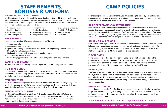## **STAFF BENEFITS, BONUSES & UNIFORM**

### **PROFESSIONAL DEVELOPMENT**

Working at camp is one of the most life-impacting jobs in the world. Every role at camp will challenge staff members to grow as professionals and leaders. Not only will you make a difference in kids' lives, but you'll also develop critical personal and professional skills that will be assets in your future life & career:

**THE BENEFITS**

Need more convincing? When you join our team, you'll receive:

- Competitive salary
- Lodging and meals provided
- Specialized training & certifications (CPR/First Aid/Lifeguarding/Archery/Ropes etc.)
- Strong letters of recommendation
- Lifelong friendships with people from around the world
- An internship unique to you
- Networking opportunities with staff, alumni, and professional organizations

### **CAMP STORE DISCOUNT**

Receive a 20% discount on any camp store purchases made throughout the summer.

### **REFERRAL BONUS**

Do you have a friend who you think would make a great addition to our staff team? Anyone who refers a new Camp Sloane staff member will receive a \$100 bonus once the new staff staff member has completed the summer.

### **STAFF UNIFORM**

Staff are provided with polo shirts to be worn on check in and check out days. Day Camp staff will also receive t-shirts to be worn each weekday. Staff need to provide their own khaki (light brown) pants/shorts to wear on check in & check out days.

### **MENTAL HEALTH SUPPORT**

Working at Camp Sloane is a lot of fun AND can be stressful for staff. We have a Social Worker at camp who is available to support staff who need someone to talk to. Additionally, we can make schedule accommodations for staff to connect with mental health providers throughout the summer.

- Communication
- Problem-Solving
- Decision-Making
- Time Management
- Leadership & Teaching • Interpersonal Skills

• Taking Initiative



By choosing to work at Camp Sloane, you are agreeing to abide by our policies and procedures for the entire summer. It is a huge commitment and it is important to be aware of the expectations of all staff at Camp Sloane.

#### **BASIC EXPECTATIONS & ATTENDANCE**

Staff will at all times remember that they are role models for the campers! Each staff member is expected to conduct themselves in an ethical, moral and legal manner in order to set the best example for each camper. Staff are expected to attend all camp functions and assigned duties (e.g. flag raising/lowering, meals, evening programs) unless otherwise assigned, on scheduled time off, or specifically excused by the Camp Director.

### **SALARY & PAY PERIODS**

Each staff member agrees to work for a specified salary in their summer agreement, which is based on a standardized pay scale that ensures fair and consistent compensation for all staff (see pg 6). We pay on a bi-weekly schedule via direct deposit. International staff will be paid onto a 'Cliq' pre-paid debit card account.

#### **ELECTRONICS**

#### • Conflict Resolution • Flexibility & Resilience

- 
- 

Camp Sloane is a technology-free camp. Campers are not allowed to bring their phones or other devices to camp. Staff are not permitted to carry or use a cell phone or other personal electronic device at any time when on duty or in the presence of children. All technology must be kept in the Staff Lodge.

#### **DRESS CODE**

Staff are expected to take care or their personal grooming, hygiene and appearance in ways that are consistent & appropriate with being positive role models. As a general rule, staff must dress appropriately for the activity they are doing (e.g. correct footwear at the climbing tower, long pants for horse riding, correct attire when lifeguarding)

#### **NON-NEGOTIABLES**

Camp Sloane is a smoke-free facility, which means that there is absolutely nowhere on property where smoking or vaping is allowed. We are also a completely alcohol and drug-free camp. If you are found with alcohol or drugs on camp, you will be dismissed immediately.

When hired, staff will be sent all Camp Sloane policies in full.

### Page 7 **[WWW.CAMPSLOANE.ORG/WORK-WITH-US](https://campsloane.org/work-with-us/) [WWW.CAMPSLOANE.ORG/WORK-WITH-US](http://www.campsloane.org/work-with-us)** Page 8

• Organizational Efficiency

• Public Speaking

• Teamwork